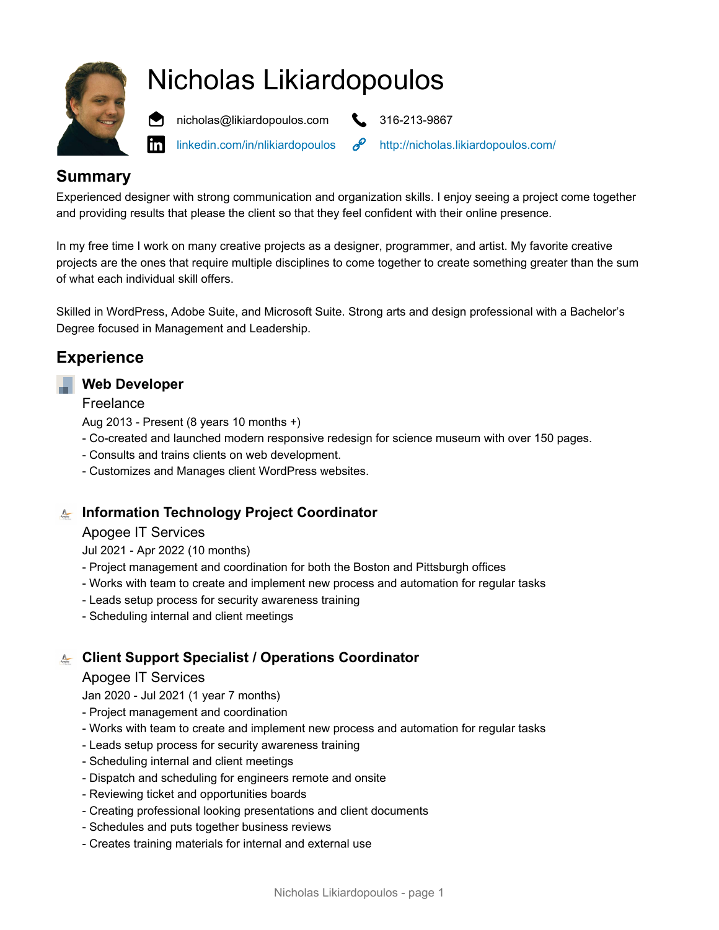

# Nicholas Likiardopoulos



linl

[linkedin.com/i](https://www.linkedin.com/in/nlikiardopoulos)n/nlikiardopoulos  $\mathscr{P}$  <http://nicholas.likiardopoulos.com/>

# **Summary**

Experienced designer with strong communication and organization skills. I enjoy seeing a project come together and providing results that please the client so that they feel confident with their online presence.

In my free time I work on many creative projects as a designer, programmer, and artist. My favorite creative projects are the ones that require multiple disciplines to come together to create something greater than the sum of what each individual skill offers.

Skilled in WordPress, Adobe Suite, and Microsoft Suite. Strong arts and design professional with a Bachelor's Degree focused in Management and Leadership.

# **Experience**

#### **Web Developer**

Freelance

Aug 2013 - Present (8 years 10 months +)

- Co-created and launched modern responsive redesign for science museum with over 150 pages.
- Consults and trains clients on web development.
- Customizes and Manages client WordPress websites.

**Information Technology Project Coordinator**

#### Apogee IT Services

Jul 2021 - Apr 2022 (10 months)

- Project management and coordination for both the Boston and Pittsburgh offices
- Works with team to create and implement new process and automation for regular tasks
- Leads setup process for security awareness training
- Scheduling internal and client meetings

### **Client Support Specialist / Operations Coordinator**

#### Apogee IT Services

Jan 2020 - Jul 2021 (1 year 7 months)

- Project management and coordination
- Works with team to create and implement new process and automation for regular tasks
- Leads setup process for security awareness training
- Scheduling internal and client meetings
- Dispatch and scheduling for engineers remote and onsite
- Reviewing ticket and opportunities boards
- Creating professional looking presentations and client documents
- Schedules and puts together business reviews
- Creates training materials for internal and external use